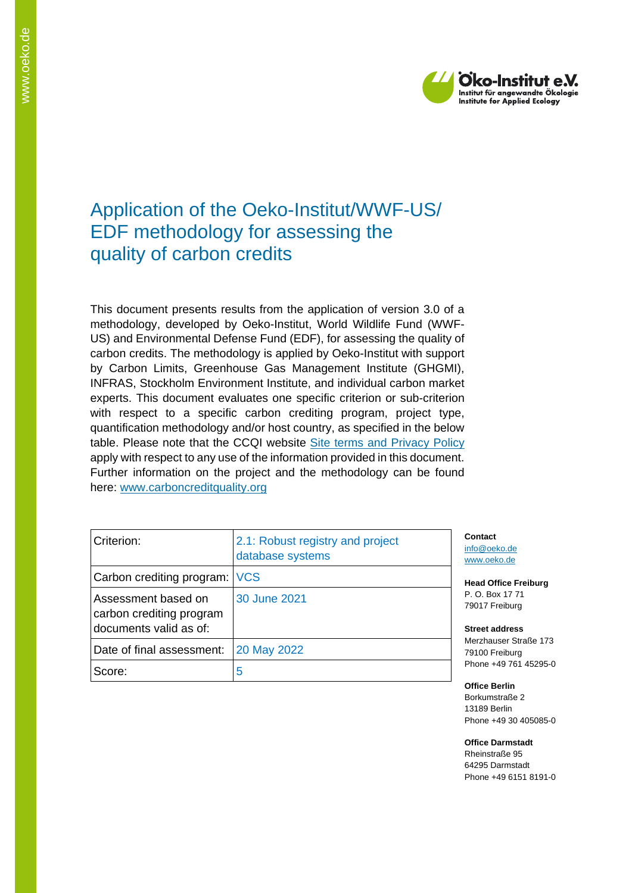

## Application of the Oeko-Institut/WWF-US/ EDF methodology for assessing the quality of carbon credits

This document presents results from the application of version 3.0 of a methodology, developed by Oeko-Institut, World Wildlife Fund (WWF-US) and Environmental Defense Fund (EDF), for assessing the quality of carbon credits. The methodology is applied by Oeko-Institut with support by Carbon Limits, Greenhouse Gas Management Institute (GHGMI), INFRAS, Stockholm Environment Institute, and individual carbon market experts. This document evaluates one specific criterion or sub-criterion with respect to a specific carbon crediting program, project type, quantification methodology and/or host country, as specified in the below table. Please note that the CCQI website [Site terms and Privacy Policy](https://carboncreditquality.org/terms.html) apply with respect to any use of the information provided in this document. Further information on the project and the methodology can be found here: [www.carboncreditquality.org](http://www.carboncreditquality.org/)

| Criterion:                                                                | 2.1: Robust registry and project<br>database systems | Contact<br>info@oek<br>www.oek           |
|---------------------------------------------------------------------------|------------------------------------------------------|------------------------------------------|
| Carbon crediting program: VCS                                             |                                                      | <b>Head Off</b>                          |
| Assessment based on<br>carbon crediting program<br>documents valid as of: | 30 June 2021                                         | P. O. Bo<br>79017 Fr<br><b>Street ad</b> |
| Date of final assessment:                                                 | 20 May 2022                                          | <b>Merzhau</b><br>79100 Fr               |
| Score:                                                                    | 5                                                    | Phone $+4$                               |

ko.de o.de

**Head Office Freiburg** x 17 71 eiburg<sup>-</sup>

**Street address** Iser Straße 173 reiburg 49 761 45295-0

**Office Berlin** Borkumstraße 2 13189 Berlin Phone +49 30 405085-0

**Office Darmstadt** Rheinstraße 95 64295 Darmstadt Phone +49 6151 8191-0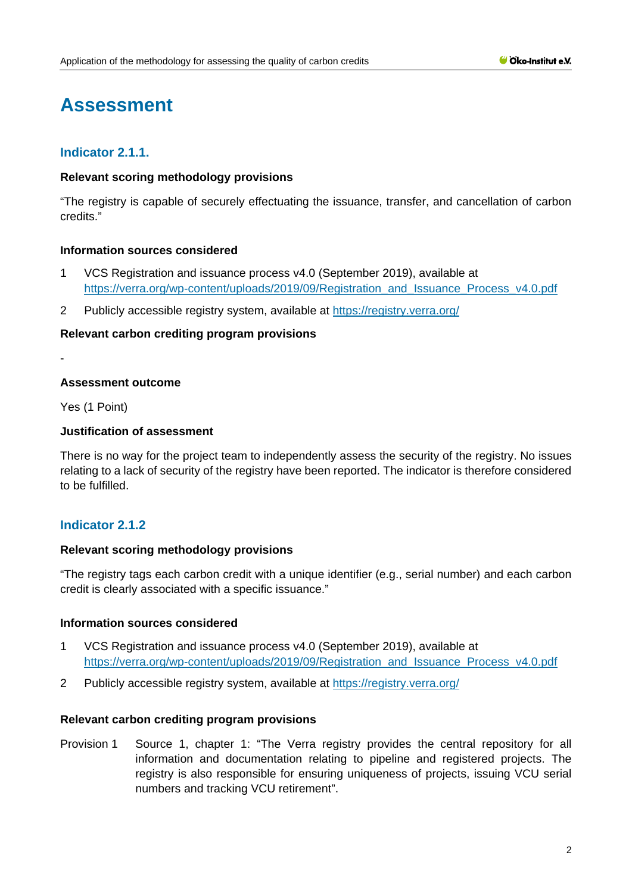# **Assessment**

## **Indicator 2.1.1.**

### **Relevant scoring methodology provisions**

"The registry is capable of securely effectuating the issuance, transfer, and cancellation of carbon credits."

## **Information sources considered**

- 1 VCS Registration and issuance process v4.0 (September 2019), available at [https://verra.org/wp-content/uploads/2019/09/Registration\\_and\\_Issuance\\_Process\\_v4.0.pdf](https://verra.org/wp-content/uploads/2019/09/Registration_and_Issuance_Process_v4.0.pdf)
- 2 Publicly accessible registry system, available at <https://registry.verra.org/>

#### **Relevant carbon crediting program provisions**

-

## **Assessment outcome**

Yes (1 Point)

## **Justification of assessment**

There is no way for the project team to independently assess the security of the registry. No issues relating to a lack of security of the registry have been reported. The indicator is therefore considered to be fulfilled.

## **Indicator 2.1.2**

#### **Relevant scoring methodology provisions**

"The registry tags each carbon credit with a unique identifier (e.g., serial number) and each carbon credit is clearly associated with a specific issuance."

#### **Information sources considered**

- 1 VCS Registration and issuance process v4.0 (September 2019), available at [https://verra.org/wp-content/uploads/2019/09/Registration\\_and\\_Issuance\\_Process\\_v4.0.pdf](https://verra.org/wp-content/uploads/2019/09/Registration_and_Issuance_Process_v4.0.pdf)
- 2 Publicly accessible registry system, available at <https://registry.verra.org/>

#### **Relevant carbon crediting program provisions**

Provision 1 Source 1, chapter 1: "The Verra registry provides the central repository for all information and documentation relating to pipeline and registered projects. The registry is also responsible for ensuring uniqueness of projects, issuing VCU serial numbers and tracking VCU retirement".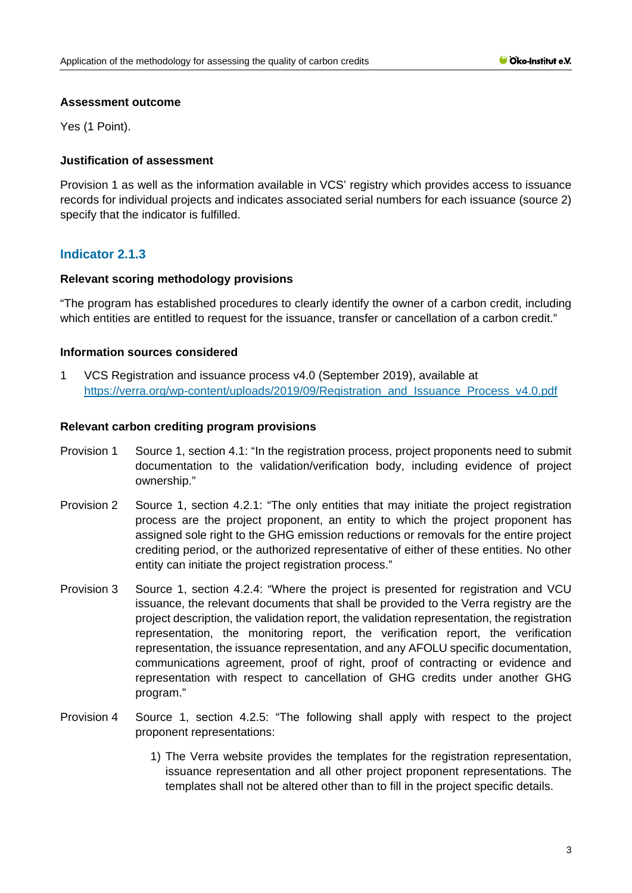#### **Assessment outcome**

Yes (1 Point).

## **Justification of assessment**

Provision 1 as well as the information available in VCS' registry which provides access to issuance records for individual projects and indicates associated serial numbers for each issuance (source 2) specify that the indicator is fulfilled.

## **Indicator 2.1.3**

## **Relevant scoring methodology provisions**

"The program has established procedures to clearly identify the owner of a carbon credit, including which entities are entitled to request for the issuance, transfer or cancellation of a carbon credit."

#### **Information sources considered**

1 VCS Registration and issuance process v4.0 (September 2019), available at [https://verra.org/wp-content/uploads/2019/09/Registration\\_and\\_Issuance\\_Process\\_v4.0.pdf](https://verra.org/wp-content/uploads/2019/09/Registration_and_Issuance_Process_v4.0.pdf)

## **Relevant carbon crediting program provisions**

- Provision 1 Source 1, section 4.1: "In the registration process, project proponents need to submit documentation to the validation/verification body, including evidence of project ownership."
- Provision 2 Source 1, section 4.2.1: "The only entities that may initiate the project registration process are the project proponent, an entity to which the project proponent has assigned sole right to the GHG emission reductions or removals for the entire project crediting period, or the authorized representative of either of these entities. No other entity can initiate the project registration process."
- Provision 3 Source 1, section 4.2.4: "Where the project is presented for registration and VCU issuance, the relevant documents that shall be provided to the Verra registry are the project description, the validation report, the validation representation, the registration representation, the monitoring report, the verification report, the verification representation, the issuance representation, and any AFOLU specific documentation, communications agreement, proof of right, proof of contracting or evidence and representation with respect to cancellation of GHG credits under another GHG program."
- Provision 4 Source 1, section 4.2.5: "The following shall apply with respect to the project proponent representations:
	- 1) The Verra website provides the templates for the registration representation, issuance representation and all other project proponent representations. The templates shall not be altered other than to fill in the project specific details.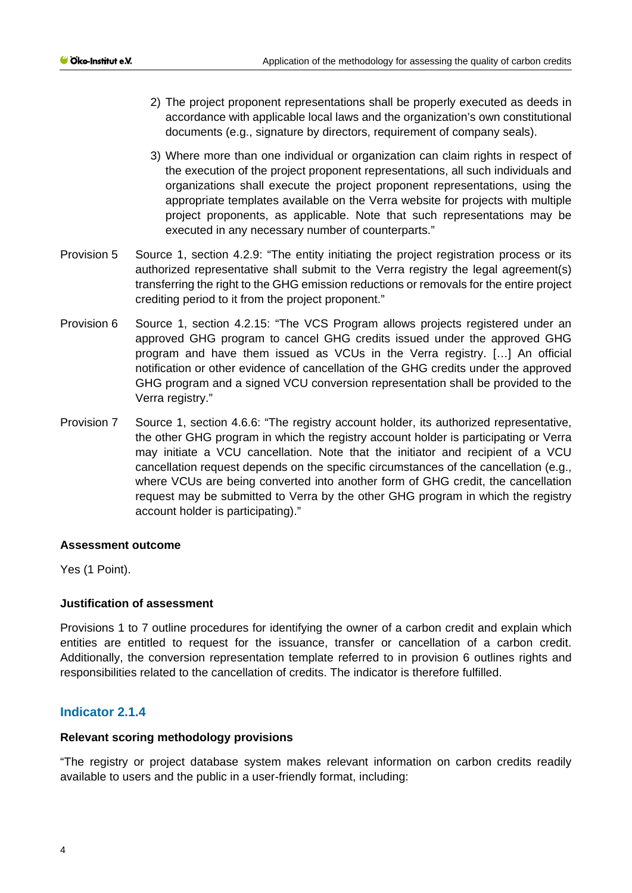- 2) The project proponent representations shall be properly executed as deeds in accordance with applicable local laws and the organization's own constitutional documents (e.g., signature by directors, requirement of company seals).
- 3) Where more than one individual or organization can claim rights in respect of the execution of the project proponent representations, all such individuals and organizations shall execute the project proponent representations, using the appropriate templates available on the Verra website for projects with multiple project proponents, as applicable. Note that such representations may be executed in any necessary number of counterparts."
- Provision 5 Source 1, section 4.2.9: "The entity initiating the project registration process or its authorized representative shall submit to the Verra registry the legal agreement(s) transferring the right to the GHG emission reductions or removals for the entire project crediting period to it from the project proponent."
- Provision 6 Source 1, section 4.2.15: "The VCS Program allows projects registered under an approved GHG program to cancel GHG credits issued under the approved GHG program and have them issued as VCUs in the Verra registry. […] An official notification or other evidence of cancellation of the GHG credits under the approved GHG program and a signed VCU conversion representation shall be provided to the Verra registry."
- Provision 7 Source 1, section 4.6.6: "The registry account holder, its authorized representative, the other GHG program in which the registry account holder is participating or Verra may initiate a VCU cancellation. Note that the initiator and recipient of a VCU cancellation request depends on the specific circumstances of the cancellation (e.g., where VCUs are being converted into another form of GHG credit, the cancellation request may be submitted to Verra by the other GHG program in which the registry account holder is participating)."

## **Assessment outcome**

Yes (1 Point).

## **Justification of assessment**

Provisions 1 to 7 outline procedures for identifying the owner of a carbon credit and explain which entities are entitled to request for the issuance, transfer or cancellation of a carbon credit. Additionally, the conversion representation template referred to in provision 6 outlines rights and responsibilities related to the cancellation of credits. The indicator is therefore fulfilled.

## **Indicator 2.1.4**

#### **Relevant scoring methodology provisions**

"The registry or project database system makes relevant information on carbon credits readily available to users and the public in a user-friendly format, including: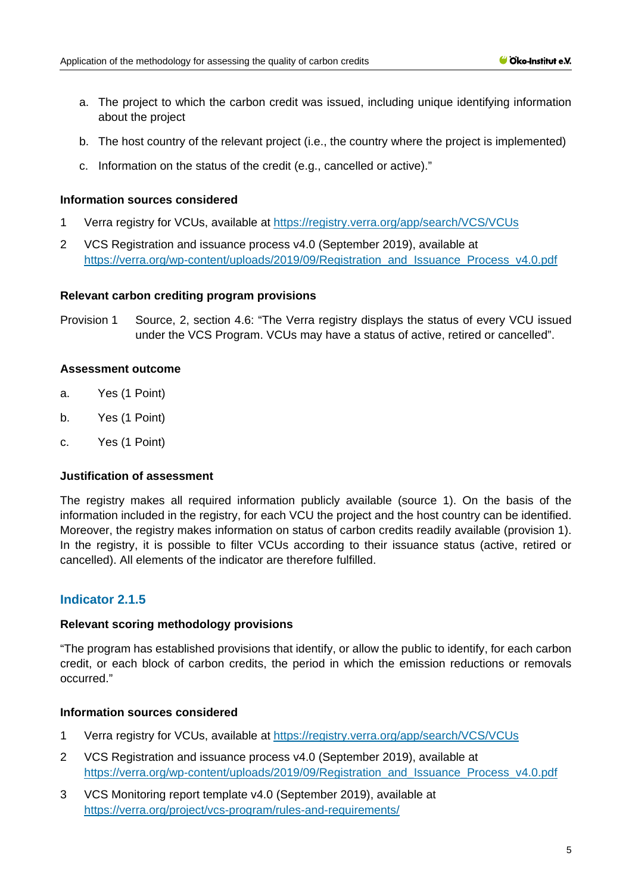- a. The project to which the carbon credit was issued, including unique identifying information about the project
- b. The host country of the relevant project (i.e., the country where the project is implemented)
- c. Information on the status of the credit (e.g., cancelled or active)."

#### **Information sources considered**

- 1 Verra registry for VCUs, available at<https://registry.verra.org/app/search/VCS/VCUs>
- 2 VCS Registration and issuance process v4.0 (September 2019), available at [https://verra.org/wp-content/uploads/2019/09/Registration\\_and\\_Issuance\\_Process\\_v4.0.pdf](https://verra.org/wp-content/uploads/2019/09/Registration_and_Issuance_Process_v4.0.pdf)

#### **Relevant carbon crediting program provisions**

Provision 1 Source, 2, section 4.6: "The Verra registry displays the status of every VCU issued under the VCS Program. VCUs may have a status of active, retired or cancelled".

#### **Assessment outcome**

- a. Yes (1 Point)
- b. Yes (1 Point)
- c. Yes (1 Point)

#### **Justification of assessment**

The registry makes all required information publicly available (source 1). On the basis of the information included in the registry, for each VCU the project and the host country can be identified. Moreover, the registry makes information on status of carbon credits readily available (provision 1). In the registry, it is possible to filter VCUs according to their issuance status (active, retired or cancelled). All elements of the indicator are therefore fulfilled.

## **Indicator 2.1.5**

#### **Relevant scoring methodology provisions**

"The program has established provisions that identify, or allow the public to identify, for each carbon credit, or each block of carbon credits, the period in which the emission reductions or removals occurred."

#### **Information sources considered**

- 1 Verra registry for VCUs, available at<https://registry.verra.org/app/search/VCS/VCUs>
- 2 VCS Registration and issuance process v4.0 (September 2019), available at [https://verra.org/wp-content/uploads/2019/09/Registration\\_and\\_Issuance\\_Process\\_v4.0.pdf](https://verra.org/wp-content/uploads/2019/09/Registration_and_Issuance_Process_v4.0.pdf)
- 3 VCS Monitoring report template v4.0 (September 2019), available at <https://verra.org/project/vcs-program/rules-and-requirements/>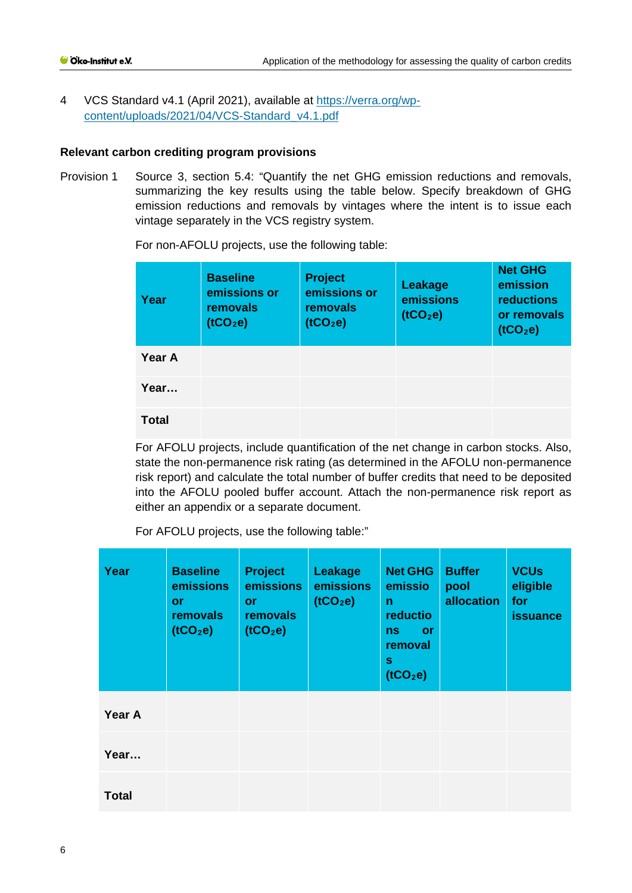4 VCS Standard v4.1 (April 2021), available at [https://verra.org/wp](https://verra.org/wp-content/uploads/2021/04/VCS-Standard_v4.1.pdf)[content/uploads/2021/04/VCS-Standard\\_v4.1.pdf](https://verra.org/wp-content/uploads/2021/04/VCS-Standard_v4.1.pdf)

#### **Relevant carbon crediting program provisions**

Provision 1 Source 3, section 5.4: "Quantify the net GHG emission reductions and removals, summarizing the key results using the table below. Specify breakdown of GHG emission reductions and removals by vintages where the intent is to issue each vintage separately in the VCS registry system.

| Year         | <b>Baseline</b><br>emissions or<br>removals<br>(tCO <sub>2</sub> e) | <b>Project</b><br>emissions or<br>removals<br>(tCO <sub>2</sub> e) | Leakage<br>emissions<br>(1CO <sub>2</sub> e) | <b>Net GHG</b><br>emission<br><b>reductions</b><br>or removals<br>(1CO <sub>2</sub> e) |
|--------------|---------------------------------------------------------------------|--------------------------------------------------------------------|----------------------------------------------|----------------------------------------------------------------------------------------|
| Year A       |                                                                     |                                                                    |                                              |                                                                                        |
| Year         |                                                                     |                                                                    |                                              |                                                                                        |
| <b>Total</b> |                                                                     |                                                                    |                                              |                                                                                        |

For non-AFOLU projects, use the following table:

For AFOLU projects, include quantification of the net change in carbon stocks. Also, state the non-permanence risk rating (as determined in the AFOLU non-permanence risk report) and calculate the total number of buffer credits that need to be deposited into the AFOLU pooled buffer account. Attach the non-permanence risk report as either an appendix or a separate document.

For AFOLU projects, use the following table:"

| Year         | <b>Baseline</b><br>emissions<br><b>or</b><br>removals<br>(1CO <sub>2</sub> e) | <b>Project</b><br>emissions<br><b>or</b><br><b>removals</b><br>(1CO <sub>2</sub> e) | Leakage<br>emissions<br>(tCO <sub>2</sub> e) | <b>Net GHG</b><br>emissio<br>$\mathsf{n}$<br>reductio<br><b>or</b><br>ns<br>removal<br>s<br>(tCO <sub>2</sub> e) | <b>Buffer</b><br>pool<br>allocation | <b>VCUs</b><br>eligible<br>for<br><b>issuance</b> |
|--------------|-------------------------------------------------------------------------------|-------------------------------------------------------------------------------------|----------------------------------------------|------------------------------------------------------------------------------------------------------------------|-------------------------------------|---------------------------------------------------|
| Year A       |                                                                               |                                                                                     |                                              |                                                                                                                  |                                     |                                                   |
| Year         |                                                                               |                                                                                     |                                              |                                                                                                                  |                                     |                                                   |
| <b>Total</b> |                                                                               |                                                                                     |                                              |                                                                                                                  |                                     |                                                   |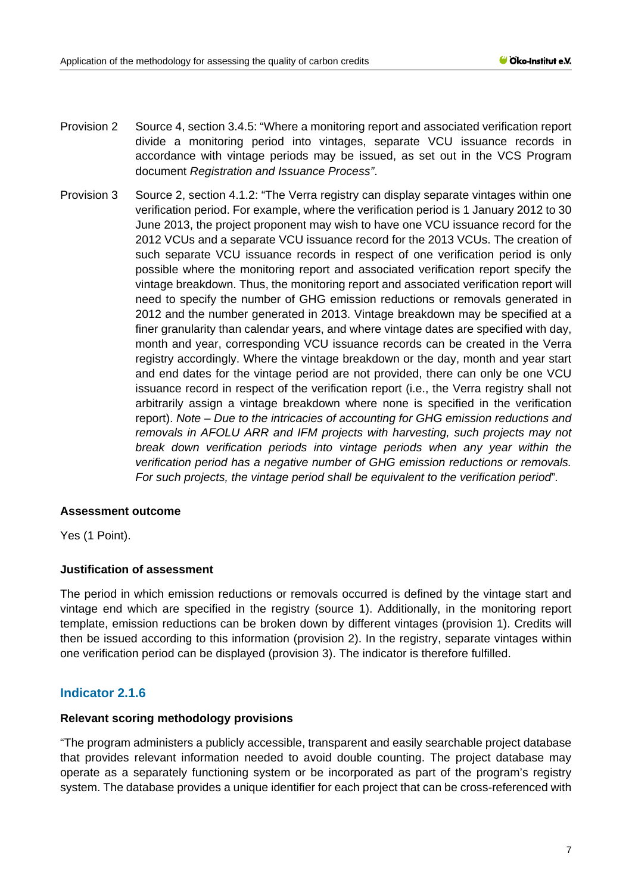- Provision 2 Source 4, section 3.4.5: "Where a monitoring report and associated verification report divide a monitoring period into vintages, separate VCU issuance records in accordance with vintage periods may be issued, as set out in the VCS Program document *Registration and Issuance Process"*.
- Provision 3 Source 2, section 4.1.2: "The Verra registry can display separate vintages within one verification period. For example, where the verification period is 1 January 2012 to 30 June 2013, the project proponent may wish to have one VCU issuance record for the 2012 VCUs and a separate VCU issuance record for the 2013 VCUs. The creation of such separate VCU issuance records in respect of one verification period is only possible where the monitoring report and associated verification report specify the vintage breakdown. Thus, the monitoring report and associated verification report will need to specify the number of GHG emission reductions or removals generated in 2012 and the number generated in 2013. Vintage breakdown may be specified at a finer granularity than calendar years, and where vintage dates are specified with day, month and year, corresponding VCU issuance records can be created in the Verra registry accordingly. Where the vintage breakdown or the day, month and year start and end dates for the vintage period are not provided, there can only be one VCU issuance record in respect of the verification report (i.e., the Verra registry shall not arbitrarily assign a vintage breakdown where none is specified in the verification report). *Note – Due to the intricacies of accounting for GHG emission reductions and removals in AFOLU ARR and IFM projects with harvesting, such projects may not break down verification periods into vintage periods when any year within the verification period has a negative number of GHG emission reductions or removals. For such projects, the vintage period shall be equivalent to the verification period*"*.*

## **Assessment outcome**

Yes (1 Point).

## **Justification of assessment**

The period in which emission reductions or removals occurred is defined by the vintage start and vintage end which are specified in the registry (source 1). Additionally, in the monitoring report template, emission reductions can be broken down by different vintages (provision 1). Credits will then be issued according to this information (provision 2). In the registry, separate vintages within one verification period can be displayed (provision 3). The indicator is therefore fulfilled.

## **Indicator 2.1.6**

#### **Relevant scoring methodology provisions**

"The program administers a publicly accessible, transparent and easily searchable project database that provides relevant information needed to avoid double counting. The project database may operate as a separately functioning system or be incorporated as part of the program's registry system. The database provides a unique identifier for each project that can be cross-referenced with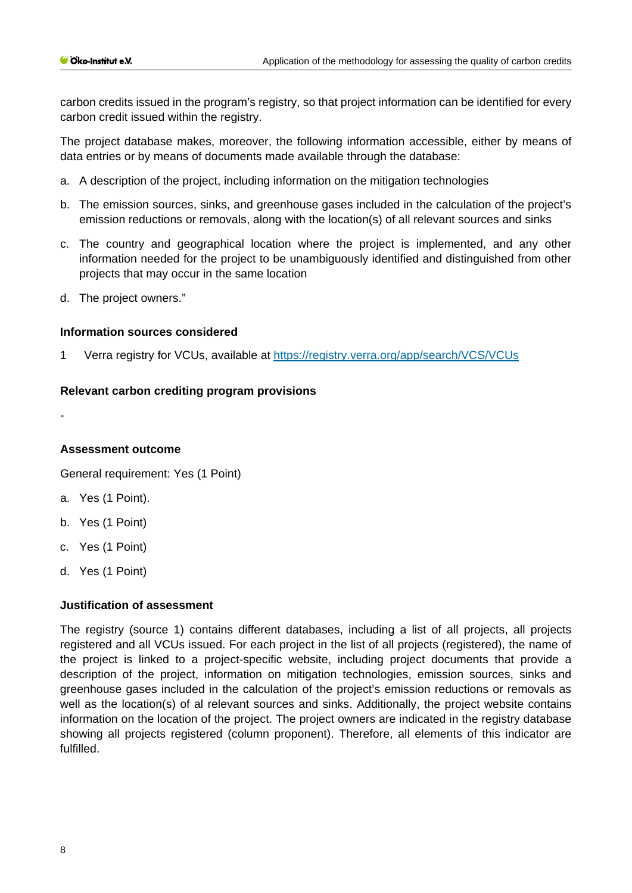carbon credits issued in the program's registry, so that project information can be identified for every carbon credit issued within the registry.

The project database makes, moreover, the following information accessible, either by means of data entries or by means of documents made available through the database:

- a. A description of the project, including information on the mitigation technologies
- b. The emission sources, sinks, and greenhouse gases included in the calculation of the project's emission reductions or removals, along with the location(s) of all relevant sources and sinks
- c. The country and geographical location where the project is implemented, and any other information needed for the project to be unambiguously identified and distinguished from other projects that may occur in the same location
- d. The project owners."

#### **Information sources considered**

1 Verra registry for VCUs, available at<https://registry.verra.org/app/search/VCS/VCUs>

#### **Relevant carbon crediting program provisions**

-

## **Assessment outcome**

General requirement: Yes (1 Point)

- a. Yes (1 Point).
- b. Yes (1 Point)
- c. Yes (1 Point)
- d. Yes (1 Point)

#### **Justification of assessment**

The registry (source 1) contains different databases, including a list of all projects, all projects registered and all VCUs issued. For each project in the list of all projects (registered), the name of the project is linked to a project-specific website, including project documents that provide a description of the project, information on mitigation technologies, emission sources, sinks and greenhouse gases included in the calculation of the project's emission reductions or removals as well as the location(s) of al relevant sources and sinks. Additionally, the project website contains information on the location of the project. The project owners are indicated in the registry database showing all projects registered (column proponent). Therefore, all elements of this indicator are fulfilled.